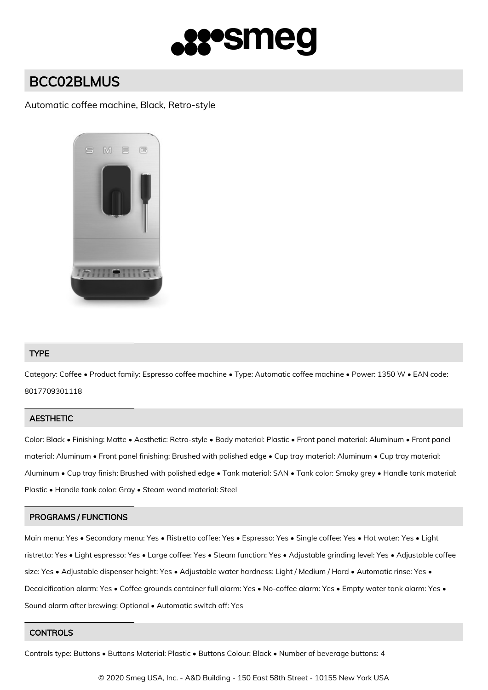

# BCC02BLMUS

## Automatic coffee machine, Black, Retro-style



#### TYPE

Category: Coffee • Product family: Espresso coffee machine • Type: Automatic coffee machine • Power: 1350 W • EAN code: 8017709301118

#### **AESTHETIC**

Color: Black • Finishing: Matte • Aesthetic: Retro-style • Body material: Plastic • Front panel material: Aluminum • Front panel material: Aluminum • Front panel finishing: Brushed with polished edge • Cup tray material: Aluminum • Cup tray material: Aluminum • Cup tray finish: Brushed with polished edge • Tank material: SAN • Tank color: Smoky grey • Handle tank material: Plastic • Handle tank color: Gray • Steam wand material: Steel

### PROGRAMS / FUNCTIONS

Main menu: Yes • Secondary menu: Yes • Ristretto coffee: Yes • Espresso: Yes • Single coffee: Yes • Hot water: Yes • Light ristretto: Yes • Light espresso: Yes • Large coffee: Yes • Steam function: Yes • Adjustable grinding level: Yes • Adjustable coffee size: Yes • Adjustable dispenser height: Yes • Adjustable water hardness: Light / Medium / Hard • Automatic rinse: Yes • Decalcification alarm: Yes • Coffee grounds container full alarm: Yes • No-coffee alarm: Yes • Empty water tank alarm: Yes • Sound alarm after brewing: Optional • Automatic switch off: Yes

#### **CONTROLS**

Controls type: Buttons • Buttons Material: Plastic • Buttons Colour: Black • Number of beverage buttons: 4

© 2020 Smeg USA, Inc. - A&D Building - 150 East 58th Street - 10155 New York USA